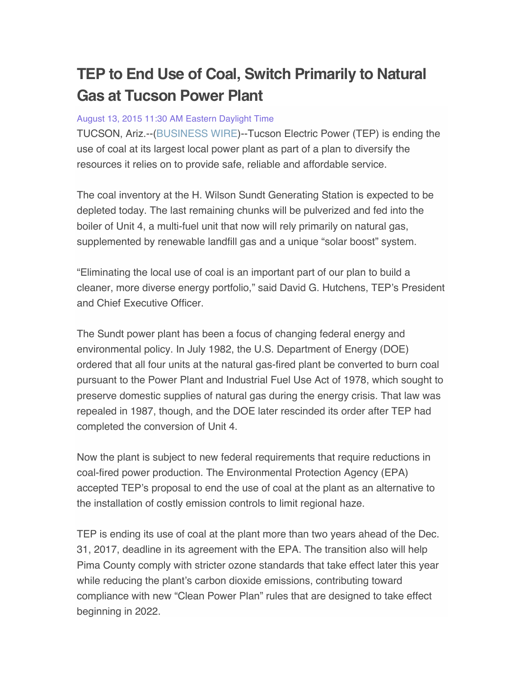## **TEP to End Use of Coal, Switch Primarily to Natural Gas at Tucson Power Plant**

## August 13, 2015 11:30 AM Eastern Daylight Time

TUCSON, Ariz.--(BUSINESS WIRE)--Tucson Electric Power (TEP) is ending the use of coal at its largest local power plant as part of a plan to diversify the resources it relies on to provide safe, reliable and affordable service.

The coal inventory at the H. Wilson Sundt Generating Station is expected to be depleted today. The last remaining chunks will be pulverized and fed into the boiler of Unit 4, a multi-fuel unit that now will rely primarily on natural gas, supplemented by renewable landfill gas and a unique "solar boost" system.

"Eliminating the local use of coal is an important part of our plan to build a cleaner, more diverse energy portfolio," said David G. Hutchens, TEP's President and Chief Executive Officer.

The Sundt power plant has been a focus of changing federal energy and environmental policy. In July 1982, the U.S. Department of Energy (DOE) ordered that all four units at the natural gas-fired plant be converted to burn coal pursuant to the Power Plant and Industrial Fuel Use Act of 1978, which sought to preserve domestic supplies of natural gas during the energy crisis. That law was repealed in 1987, though, and the DOE later rescinded its order after TEP had completed the conversion of Unit 4.

Now the plant is subject to new federal requirements that require reductions in coal-fired power production. The Environmental Protection Agency (EPA) accepted TEP's proposal to end the use of coal at the plant as an alternative to the installation of costly emission controls to limit regional haze.

TEP is ending its use of coal at the plant more than two years ahead of the Dec. 31, 2017, deadline in its agreement with the EPA. The transition also will help Pima County comply with stricter ozone standards that take effect later this year while reducing the plant's carbon dioxide emissions, contributing toward compliance with new "Clean Power Plan" rules that are designed to take effect beginning in 2022.